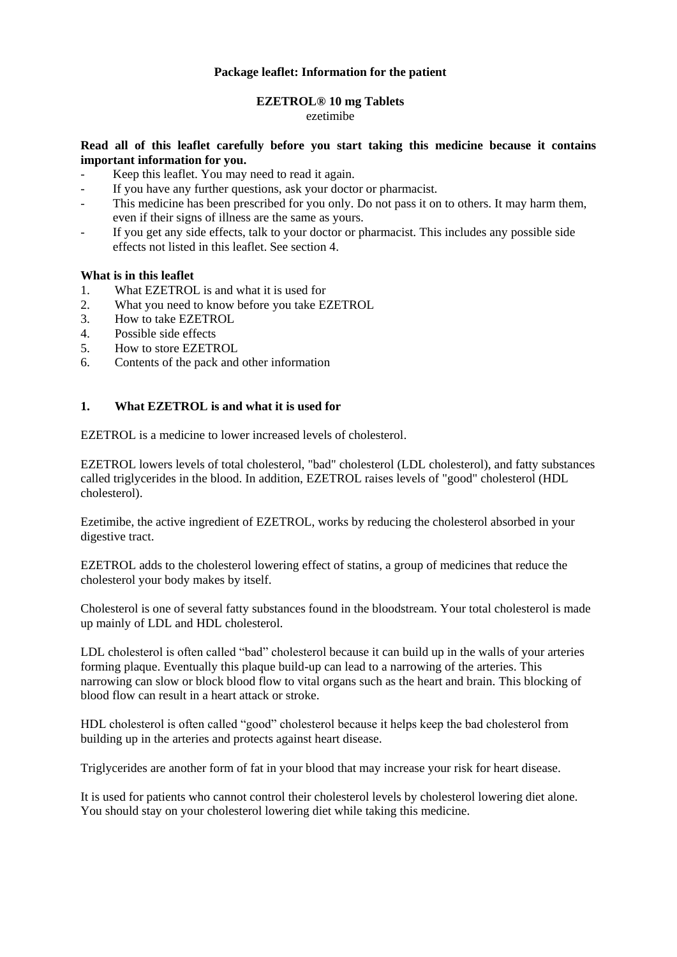### **Package leaflet: Information for the patient**

# **EZETROL® 10 mg Tablets**

#### ezetimibe

### **Read all of this leaflet carefully before you start taking this medicine because it contains important information for you.**

- Keep this leaflet. You may need to read it again.
- If you have any further questions, ask your doctor or pharmacist.
- This medicine has been prescribed for you only. Do not pass it on to others. It may harm them, even if their signs of illness are the same as yours.
- If you get any side effects, talk to your doctor or pharmacist. This includes any possible side effects not listed in this leaflet. See section 4.

### **What is in this leaflet**

- 1. What EZETROL is and what it is used for
- 2. What you need to know before you take EZETROL
- 3. How to take EZETROL
- 4. Possible side effects
- 5. How to store EZETROL
- 6. Contents of the pack and other information

### **1. What EZETROL is and what it is used for**

EZETROL is a medicine to lower increased levels of cholesterol.

EZETROL lowers levels of total cholesterol, "bad" cholesterol (LDL cholesterol), and fatty substances called triglycerides in the blood. In addition, EZETROL raises levels of "good" cholesterol (HDL cholesterol).

Ezetimibe, the active ingredient of EZETROL, works by reducing the cholesterol absorbed in your digestive tract.

EZETROL adds to the cholesterol lowering effect of statins, a group of medicines that reduce the cholesterol your body makes by itself.

Cholesterol is one of several fatty substances found in the bloodstream. Your total cholesterol is made up mainly of LDL and HDL cholesterol.

LDL cholesterol is often called "bad" cholesterol because it can build up in the walls of your arteries forming plaque. Eventually this plaque build-up can lead to a narrowing of the arteries. This narrowing can slow or block blood flow to vital organs such as the heart and brain. This blocking of blood flow can result in a heart attack or stroke.

HDL cholesterol is often called "good" cholesterol because it helps keep the bad cholesterol from building up in the arteries and protects against heart disease.

Triglycerides are another form of fat in your blood that may increase your risk for heart disease.

It is used for patients who cannot control their cholesterol levels by cholesterol lowering diet alone. You should stay on your cholesterol lowering diet while taking this medicine.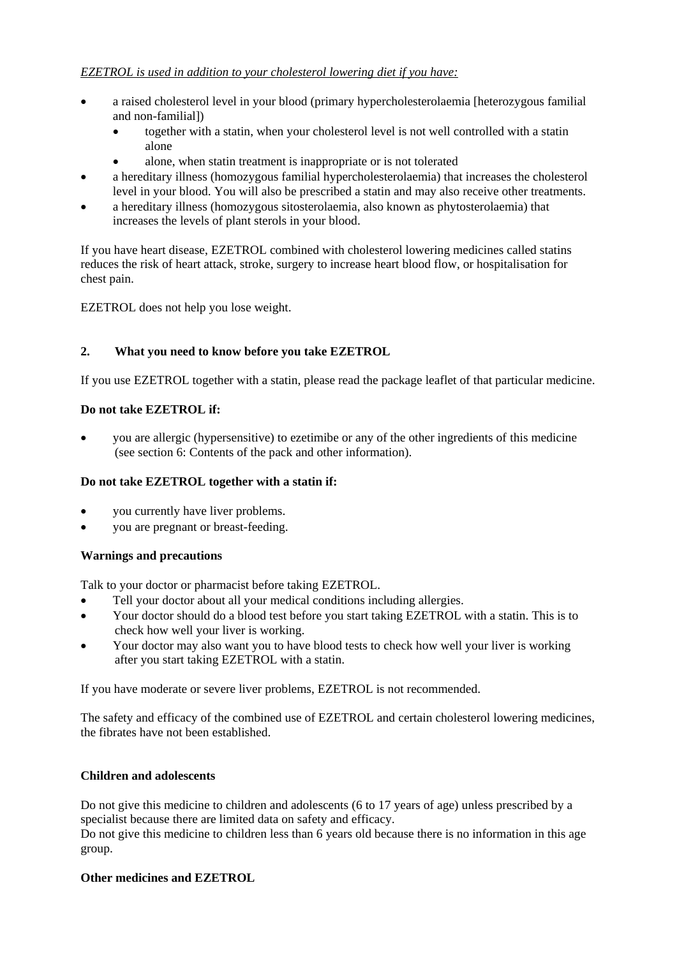- a raised cholesterol level in your blood (primary hypercholesterolaemia [heterozygous familial and non-familial])
	- together with a statin, when your cholesterol level is not well controlled with a statin alone
	- alone, when statin treatment is inappropriate or is not tolerated
- a hereditary illness (homozygous familial hypercholesterolaemia) that increases the cholesterol level in your blood. You will also be prescribed a statin and may also receive other treatments.
- a hereditary illness (homozygous sitosterolaemia, also known as phytosterolaemia) that increases the levels of plant sterols in your blood.

If you have heart disease, EZETROL combined with cholesterol lowering medicines called statins reduces the risk of heart attack, stroke, surgery to increase heart blood flow, or hospitalisation for chest pain.

EZETROL does not help you lose weight.

# **2. What you need to know before you take EZETROL**

If you use EZETROL together with a statin, please read the package leaflet of that particular medicine.

# **Do not take EZETROL if:**

 you are allergic (hypersensitive) to ezetimibe or any of the other ingredients of this medicine (see section 6: Contents of the pack and other information).

# **Do not take EZETROL together with a statin if:**

- you currently have liver problems.
- you are pregnant or breast-feeding.

# **Warnings and precautions**

Talk to your doctor or pharmacist before taking EZETROL.

- Tell your doctor about all your medical conditions including allergies.
- Your doctor should do a blood test before you start taking EZETROL with a statin. This is to check how well your liver is working.
- Your doctor may also want you to have blood tests to check how well your liver is working after you start taking EZETROL with a statin.

If you have moderate or severe liver problems, EZETROL is not recommended.

The safety and efficacy of the combined use of EZETROL and certain cholesterol lowering medicines, the fibrates have not been established.

# **Children and adolescents**

Do not give this medicine to children and adolescents (6 to 17 years of age) unless prescribed by a specialist because there are limited data on safety and efficacy.

Do not give this medicine to children less than 6 years old because there is no information in this age group.

# **Other medicines and EZETROL**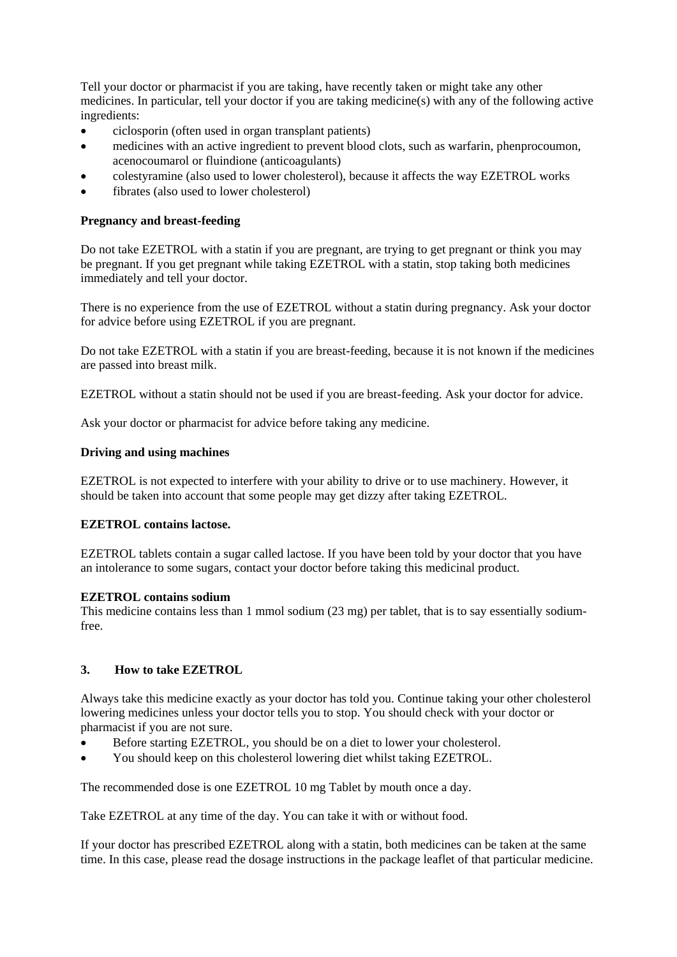Tell your doctor or pharmacist if you are taking, have recently taken or might take any other medicines. In particular, tell your doctor if you are taking medicine(s) with any of the following active ingredients:

- ciclosporin (often used in organ transplant patients)
- medicines with an active ingredient to prevent blood clots, such as warfarin, phenprocoumon, acenocoumarol or fluindione (anticoagulants)
- colestyramine (also used to lower cholesterol), because it affects the way EZETROL works
- fibrates (also used to lower cholesterol)

# **Pregnancy and breast-feeding**

Do not take EZETROL with a statin if you are pregnant, are trying to get pregnant or think you may be pregnant. If you get pregnant while taking EZETROL with a statin, stop taking both medicines immediately and tell your doctor.

There is no experience from the use of EZETROL without a statin during pregnancy. Ask your doctor for advice before using EZETROL if you are pregnant.

Do not take EZETROL with a statin if you are breast-feeding, because it is not known if the medicines are passed into breast milk.

EZETROL without a statin should not be used if you are breast-feeding. Ask your doctor for advice.

Ask your doctor or pharmacist for advice before taking any medicine.

### **Driving and using machines**

EZETROL is not expected to interfere with your ability to drive or to use machinery. However, it should be taken into account that some people may get dizzy after taking EZETROL.

### **EZETROL contains lactose.**

EZETROL tablets contain a sugar called lactose. If you have been told by your doctor that you have an intolerance to some sugars, contact your doctor before taking this medicinal product.

### **EZETROL contains sodium**

This medicine contains less than 1 mmol sodium (23 mg) per tablet, that is to say essentially sodiumfree.

# **3. How to take EZETROL**

Always take this medicine exactly as your doctor has told you. Continue taking your other cholesterol lowering medicines unless your doctor tells you to stop. You should check with your doctor or pharmacist if you are not sure.

- Before starting EZETROL, you should be on a diet to lower your cholesterol.
- You should keep on this cholesterol lowering diet whilst taking EZETROL.

The recommended dose is one EZETROL 10 mg Tablet by mouth once a day.

Take EZETROL at any time of the day. You can take it with or without food.

If your doctor has prescribed EZETROL along with a statin, both medicines can be taken at the same time. In this case, please read the dosage instructions in the package leaflet of that particular medicine.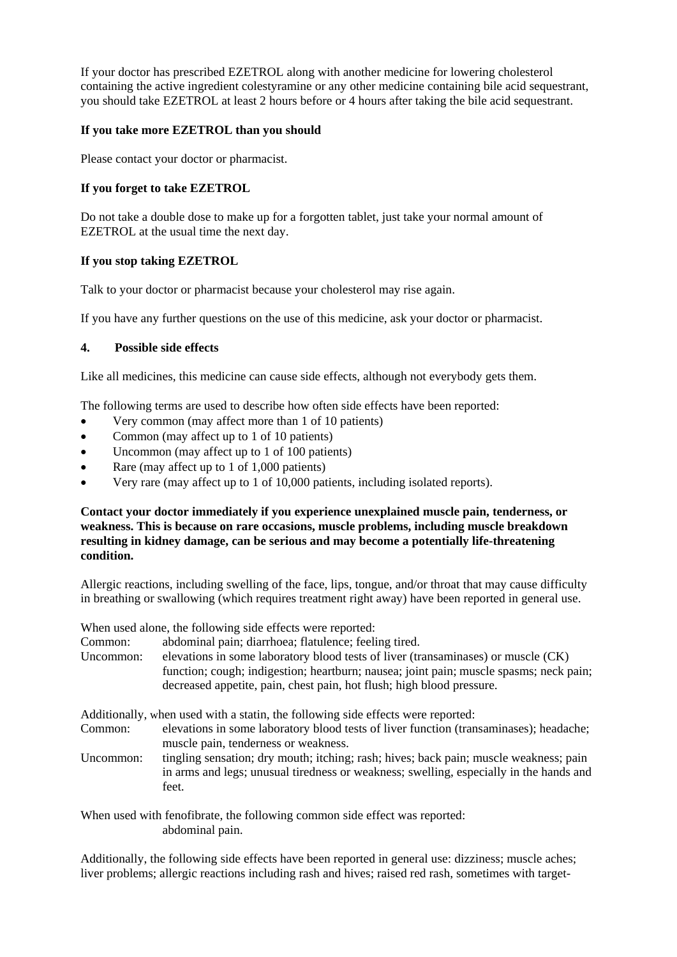If your doctor has prescribed EZETROL along with another medicine for lowering cholesterol containing the active ingredient colestyramine or any other medicine containing bile acid sequestrant, you should take EZETROL at least 2 hours before or 4 hours after taking the bile acid sequestrant.

## **If you take more EZETROL than you should**

Please contact your doctor or pharmacist.

## **If you forget to take EZETROL**

Do not take a double dose to make up for a forgotten tablet, just take your normal amount of EZETROL at the usual time the next day.

### **If you stop taking EZETROL**

Talk to your doctor or pharmacist because your cholesterol may rise again.

If you have any further questions on the use of this medicine, ask your doctor or pharmacist.

### **4. Possible side effects**

Like all medicines, this medicine can cause side effects, although not everybody gets them.

The following terms are used to describe how often side effects have been reported:

- Very common (may affect more than 1 of 10 patients)
- Common (may affect up to 1 of 10 patients)
- Uncommon (may affect up to 1 of 100 patients)
- Rare (may affect up to 1 of  $1,000$  patients)
- Very rare (may affect up to 1 of 10,000 patients, including isolated reports).

**Contact your doctor immediately if you experience unexplained muscle pain, tenderness, or weakness. This is because on rare occasions, muscle problems, including muscle breakdown resulting in kidney damage, can be serious and may become a potentially life-threatening condition.**

Allergic reactions, including swelling of the face, lips, tongue, and/or throat that may cause difficulty in breathing or swallowing (which requires treatment right away) have been reported in general use.

When used alone, the following side effects were reported:

Common: abdominal pain; diarrhoea; flatulence; feeling tired.

Uncommon: elevations in some laboratory blood tests of liver (transaminases) or muscle (CK) function; cough; indigestion; heartburn; nausea; joint pain; muscle spasms; neck pain; decreased appetite, pain, chest pain, hot flush; high blood pressure.

Additionally, when used with a statin, the following side effects were reported:

- Common: elevations in some laboratory blood tests of liver function (transaminases); headache; muscle pain, tenderness or weakness.
- Uncommon: tingling sensation; dry mouth; itching; rash; hives; back pain; muscle weakness; pain in arms and legs; unusual tiredness or weakness; swelling, especially in the hands and feet.

When used with fenofibrate, the following common side effect was reported: abdominal pain.

Additionally, the following side effects have been reported in general use: dizziness; muscle aches; liver problems; allergic reactions including rash and hives; raised red rash, sometimes with target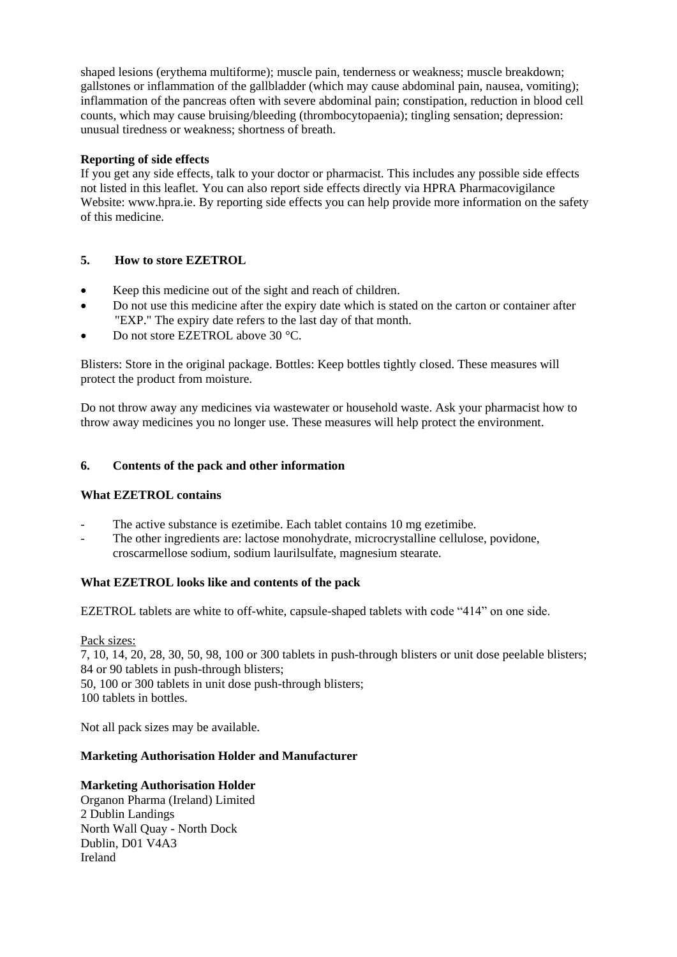shaped lesions (erythema multiforme); muscle pain, tenderness or weakness; muscle breakdown; gallstones or inflammation of the gallbladder (which may cause abdominal pain, nausea, vomiting); inflammation of the pancreas often with severe abdominal pain; constipation, reduction in blood cell counts, which may cause bruising/bleeding (thrombocytopaenia); tingling sensation; depression: unusual tiredness or weakness; shortness of breath.

### **Reporting of side effects**

If you get any side effects, talk to your doctor or pharmacist. This includes any possible side effects not listed in this leaflet. You can also report side effects directly via HPRA Pharmacovigilance Website: www.hpra.ie. By reporting side effects you can help provide more information on the safety of this medicine.

# **5. How to store EZETROL**

- Keep this medicine out of the sight and reach of children.
- Do not use this medicine after the expiry date which is stated on the carton or container after "EXP." The expiry date refers to the last day of that month.
- Do not store EZETROL above 30 °C.

Blisters: Store in the original package. Bottles: Keep bottles tightly closed. These measures will protect the product from moisture.

Do not throw away any medicines via wastewater or household waste. Ask your pharmacist how to throw away medicines you no longer use. These measures will help protect the environment.

### **6. Contents of the pack and other information**

### **What EZETROL contains**

- The active substance is ezetimibe. Each tablet contains 10 mg ezetimibe.
- The other ingredients are: lactose monohydrate, microcrystalline cellulose, povidone, croscarmellose sodium, sodium laurilsulfate, magnesium stearate.

### **What EZETROL looks like and contents of the pack**

EZETROL tablets are white to off-white, capsule-shaped tablets with code "414" on one side.

### Pack sizes:

7, 10, 14, 20, 28, 30, 50, 98, 100 or 300 tablets in push-through blisters or unit dose peelable blisters; 84 or 90 tablets in push-through blisters; 50, 100 or 300 tablets in unit dose push-through blisters; 100 tablets in bottles.

Not all pack sizes may be available.

### **Marketing Authorisation Holder and Manufacturer**

# **Marketing Authorisation Holder**

Organon Pharma (Ireland) Limited 2 Dublin Landings North Wall Quay - North Dock Dublin, D01 V4A3 Ireland